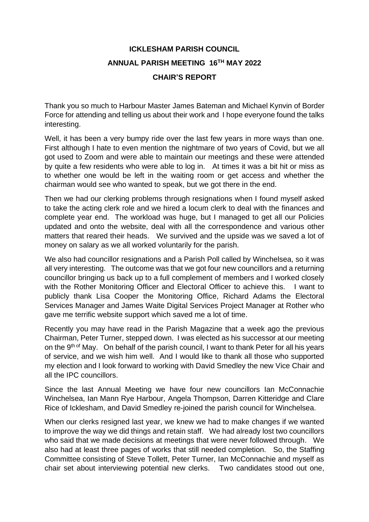## **ICKLESHAM PARISH COUNCIL ANNUAL PARISH MEETING 16TH MAY 2022 CHAIR'S REPORT**

Thank you so much to Harbour Master James Bateman and Michael Kynvin of Border Force for attending and telling us about their work and I hope everyone found the talks interesting.

Well, it has been a very bumpy ride over the last few years in more ways than one. First although I hate to even mention the nightmare of two years of Covid, but we all got used to Zoom and were able to maintain our meetings and these were attended by quite a few residents who were able to log in. At times it was a bit hit or miss as to whether one would be left in the waiting room or get access and whether the chairman would see who wanted to speak, but we got there in the end.

Then we had our clerking problems through resignations when I found myself asked to take the acting clerk role and we hired a locum clerk to deal with the finances and complete year end. The workload was huge, but I managed to get all our Policies updated and onto the website, deal with all the correspondence and various other matters that reared their heads. We survived and the upside was we saved a lot of money on salary as we all worked voluntarily for the parish.

We also had councillor resignations and a Parish Poll called by Winchelsea, so it was all very interesting. The outcome was that we got four new councillors and a returning councillor bringing us back up to a full complement of members and I worked closely with the Rother Monitoring Officer and Electoral Officer to achieve this. I want to publicly thank Lisa Cooper the Monitoring Office, Richard Adams the Electoral Services Manager and James Waite Digital Services Project Manager at Rother who gave me terrific website support which saved me a lot of time.

Recently you may have read in the Parish Magazine that a week ago the previous Chairman, Peter Turner, stepped down. I was elected as his successor at our meeting on the 9<sup>th of</sup> May. On behalf of the parish council, I want to thank Peter for all his years of service, and we wish him well. And I would like to thank all those who supported my election and I look forward to working with David Smedley the new Vice Chair and all the IPC councillors.

Since the last Annual Meeting we have four new councillors Ian McConnachie Winchelsea, Ian Mann Rye Harbour, Angela Thompson, Darren Kitteridge and Clare Rice of Icklesham, and David Smedley re-joined the parish council for Winchelsea.

When our clerks resigned last year, we knew we had to make changes if we wanted to improve the way we did things and retain staff. We had already lost two councillors who said that we made decisions at meetings that were never followed through. We also had at least three pages of works that still needed completion. So, the Staffing Committee consisting of Steve Tollett, Peter Turner, Ian McConnachie and myself as chair set about interviewing potential new clerks. Two candidates stood out one,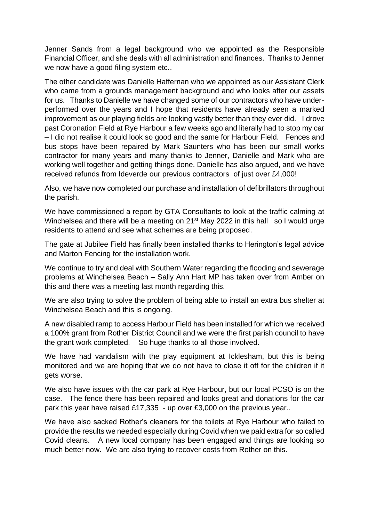Jenner Sands from a legal background who we appointed as the Responsible Financial Officer, and she deals with all administration and finances. Thanks to Jenner we now have a good filing system etc..

The other candidate was Danielle Haffernan who we appointed as our Assistant Clerk who came from a grounds management background and who looks after our assets for us. Thanks to Danielle we have changed some of our contractors who have underperformed over the years and I hope that residents have already seen a marked improvement as our playing fields are looking vastly better than they ever did. I drove past Coronation Field at Rye Harbour a few weeks ago and literally had to stop my car – I did not realise it could look so good and the same for Harbour Field. Fences and bus stops have been repaired by Mark Saunters who has been our small works contractor for many years and many thanks to Jenner, Danielle and Mark who are working well together and getting things done. Danielle has also argued, and we have received refunds from Ideverde our previous contractors of just over £4,000!

Also, we have now completed our purchase and installation of defibrillators throughout the parish.

We have commissioned a report by GTA Consultants to look at the traffic calming at Winchelsea and there will be a meeting on 21<sup>st</sup> May 2022 in this hall so I would urge residents to attend and see what schemes are being proposed.

The gate at Jubilee Field has finally been installed thanks to Herington's legal advice and Marton Fencing for the installation work.

We continue to try and deal with Southern Water regarding the flooding and sewerage problems at Winchelsea Beach – Sally Ann Hart MP has taken over from Amber on this and there was a meeting last month regarding this.

We are also trying to solve the problem of being able to install an extra bus shelter at Winchelsea Beach and this is ongoing.

A new disabled ramp to access Harbour Field has been installed for which we received a 100% grant from Rother District Council and we were the first parish council to have the grant work completed. So huge thanks to all those involved.

We have had vandalism with the play equipment at Icklesham, but this is being monitored and we are hoping that we do not have to close it off for the children if it gets worse.

We also have issues with the car park at Rye Harbour, but our local PCSO is on the case. The fence there has been repaired and looks great and donations for the car park this year have raised £17,335 - up over £3,000 on the previous year..

We have also sacked Rother's cleaners for the toilets at Rye Harbour who failed to provide the results we needed especially during Covid when we paid extra for so called Covid cleans. A new local company has been engaged and things are looking so much better now. We are also trying to recover costs from Rother on this.